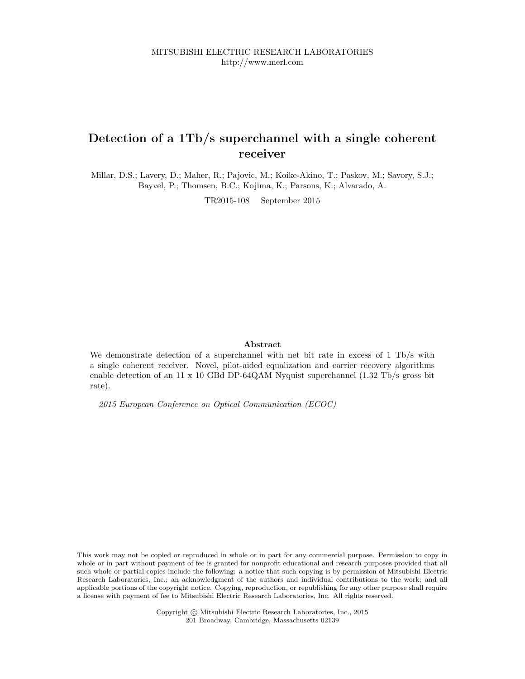# Detection of a 1Tb/s superchannel with a single coherent receiver

Millar, D.S.; Lavery, D.; Maher, R.; Pajovic, M.; Koike-Akino, T.; Paskov, M.; Savory, S.J.; Bayvel, P.; Thomsen, B.C.; Kojima, K.; Parsons, K.; Alvarado, A.

TR2015-108 September 2015

#### Abstract

We demonstrate detection of a superchannel with net bit rate in excess of 1 Tb/s with a single coherent receiver. Novel, pilot-aided equalization and carrier recovery algorithms enable detection of an 11 x 10 GBd DP-64QAM Nyquist superchannel (1.32 Tb/s gross bit rate).

2015 European Conference on Optical Communication (ECOC)

This work may not be copied or reproduced in whole or in part for any commercial purpose. Permission to copy in whole or in part without payment of fee is granted for nonprofit educational and research purposes provided that all such whole or partial copies include the following: a notice that such copying is by permission of Mitsubishi Electric Research Laboratories, Inc.; an acknowledgment of the authors and individual contributions to the work; and all applicable portions of the copyright notice. Copying, reproduction, or republishing for any other purpose shall require a license with payment of fee to Mitsubishi Electric Research Laboratories, Inc. All rights reserved.

> Copyright © Mitsubishi Electric Research Laboratories, Inc., 2015 201 Broadway, Cambridge, Massachusetts 02139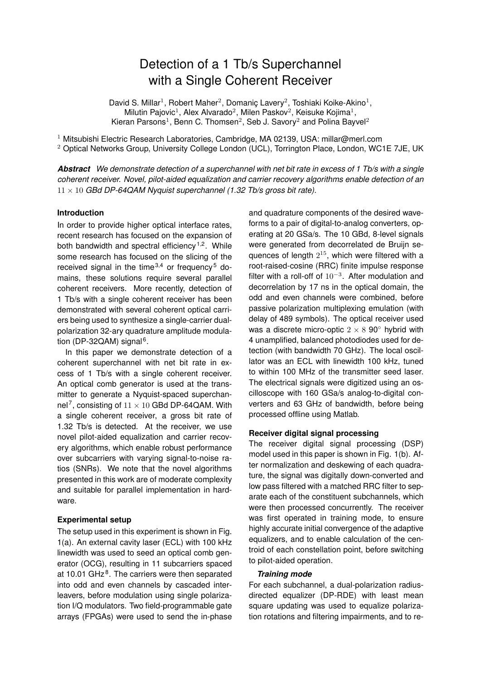# Detection of a 1 Tb/s Superchannel with a Single Coherent Receiver

David S. Millar<sup>1</sup>, Robert Maher<sup>2</sup>, Domaniç Lavery<sup>2</sup>, Toshiaki Koike-Akino<sup>1</sup>, Milutin Pajovic<sup>1</sup>, Alex Alvarado<sup>2</sup>, Milen Paskov<sup>2</sup>, Keisuke Kojima<sup>1</sup>, Kieran Parsons<sup>1</sup>, Benn C. Thomsen<sup>2</sup>, Seb J. Savory<sup>2</sup> and Polina Bayvel<sup>2</sup>

<sup>1</sup> Mitsubishi Electric Research Laboratories, Cambridge, MA 02139, USA: millar@merl.com

<sup>2</sup> Optical Networks Group, University College London (UCL), Torrington Place, London, WC1E 7JE, UK

*Abstract We demonstrate detection of a superchannel with net bit rate in excess of 1 Tb/s with a single coherent receiver. Novel, pilot-aided equalization and carrier recovery algorithms enable detection of an*  $11 \times 10$  *GBd DP-64QAM Nyquist superchannel (1.32 Tb/s gross bit rate).* 

## **Introduction**

In order to provide higher optical interface rates, recent research has focused on the expansion of both bandwidth and spectral efficiency<sup>1,2</sup>. While some research has focused on the slicing of the received signal in the time  $3,4$  or frequency<sup>5</sup> domains, these solutions require several parallel coherent receivers. More recently, detection of 1 Tb/s with a single coherent receiver has been demonstrated with several coherent optical carriers being used to synthesize a single-carrier dualpolarization 32-ary quadrature amplitude modulation (DP-32QAM) signal<sup>6</sup>.

In this paper we demonstrate detection of a coherent superchannel with net bit rate in excess of 1 Tb/s with a single coherent receiver. An optical comb generator is used at the transmitter to generate a Nyquist-spaced superchannel<sup>7</sup>, consisting of  $11 \times 10$  GBd DP-64QAM. With a single coherent receiver, a gross bit rate of 1.32 Tb/s is detected. At the receiver, we use novel pilot-aided equalization and carrier recovery algorithms, which enable robust performance over subcarriers with varying signal-to-noise ratios (SNRs). We note that the novel algorithms presented in this work are of moderate complexity and suitable for parallel implementation in hardware.

# **Experimental setup**

The setup used in this experiment is shown in Fig. 1(a). An external cavity laser (ECL) with 100 kHz linewidth was used to seed an optical comb generator (OCG), resulting in 11 subcarriers spaced at 10.01 GHz<sup>8</sup>. The carriers were then separated into odd and even channels by cascaded interleavers, before modulation using single polarization I/Q modulators. Two field-programmable gate arrays (FPGAs) were used to send the in-phase and quadrature components of the desired waveforms to a pair of digital-to-analog converters, operating at 20 GSa/s. The 10 GBd, 8-level signals were generated from decorrelated de Bruijn sequences of length  $2^{15}$ , which were filtered with a root-raised-cosine (RRC) finite impulse response filter with a roll-off of  $10^{-3}$ . After modulation and decorrelation by 17 ns in the optical domain, the odd and even channels were combined, before passive polarization multiplexing emulation (with delay of 489 symbols). The optical receiver used was a discrete micro-optic  $2 \times 8$  90 $\textdegree$  hybrid with 4 unamplified, balanced photodiodes used for detection (with bandwidth 70 GHz). The local oscillator was an ECL with linewidth 100 kHz, tuned to within 100 MHz of the transmitter seed laser. The electrical signals were digitized using an oscilloscope with 160 GSa/s analog-to-digital converters and 63 GHz of bandwidth, before being processed offline using Matlab.

## **Receiver digital signal processing**

The receiver digital signal processing (DSP) model used in this paper is shown in Fig. 1(b). After normalization and deskewing of each quadrature, the signal was digitally down-converted and low pass filtered with a matched RRC filter to separate each of the constituent subchannels, which were then processed concurrently. The receiver was first operated in training mode, to ensure highly accurate initial convergence of the adaptive equalizers, and to enable calculation of the centroid of each constellation point, before switching to pilot-aided operation.

## *Training mode*

For each subchannel, a dual-polarization radiusdirected equalizer (DP-RDE) with least mean square updating was used to equalize polarization rotations and filtering impairments, and to re-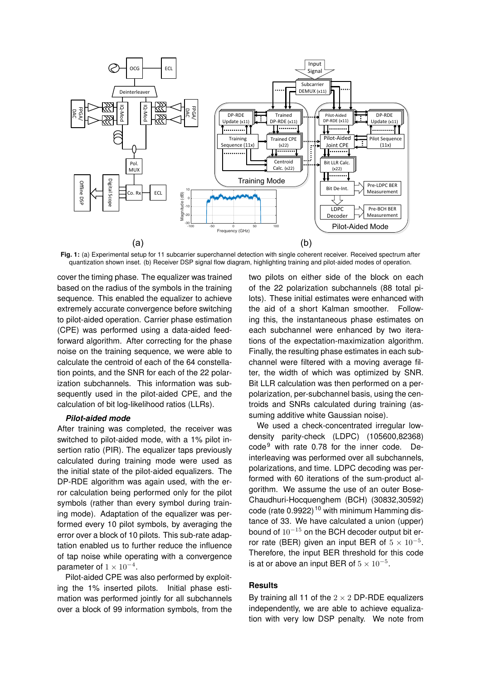

**Fig. 1:** (a) Experimental setup for 11 subcarrier superchannel detection with single coherent receiver. Received spectrum after quantization shown inset. (b) Receiver DSP signal flow diagram, highlighting training and pilot-aided modes of operation.

cover the timing phase. The equalizer was trained based on the radius of the symbols in the training sequence. This enabled the equalizer to achieve extremely accurate convergence before switching to pilot-aided operation. Carrier phase estimation (CPE) was performed using a data-aided feedforward algorithm. After correcting for the phase noise on the training sequence, we were able to calculate the centroid of each of the 64 constellation points, and the SNR for each of the 22 polarization subchannels. This information was subsequently used in the pilot-aided CPE, and the calculation of bit log-likelihood ratios (LLRs).

#### *Pilot-aided mode*

After training was completed, the receiver was switched to pilot-aided mode, with a 1% pilot insertion ratio (PIR). The equalizer taps previously calculated during training mode were used as the initial state of the pilot-aided equalizers. The DP-RDE algorithm was again used, with the error calculation being performed only for the pilot symbols (rather than every symbol during training mode). Adaptation of the equalizer was performed every 10 pilot symbols, by averaging the error over a block of 10 pilots. This sub-rate adaptation enabled us to further reduce the influence of tap noise while operating with a convergence parameter of  $1 \times 10^{-4}$ .

Pilot-aided CPE was also performed by exploiting the 1% inserted pilots. Initial phase estimation was performed jointly for all subchannels over a block of 99 information symbols, from the two pilots on either side of the block on each of the 22 polarization subchannels (88 total pilots). These initial estimates were enhanced with the aid of a short Kalman smoother. Following this, the instantaneous phase estimates on each subchannel were enhanced by two iterations of the expectation-maximization algorithm. Finally, the resulting phase estimates in each subchannel were filtered with a moving average filter, the width of which was optimized by SNR. Bit LLR calculation was then performed on a perpolarization, per-subchannel basis, using the centroids and SNRs calculated during training (assuming additive white Gaussian noise).

We used a check-concentrated irregular lowdensity parity-check (LDPC) (105600,82368)  $code<sup>9</sup>$  with rate 0.78 for the inner code. Deinterleaving was performed over all subchannels, polarizations, and time. LDPC decoding was performed with 60 iterations of the sum-product algorithm. We assume the use of an outer Bose-Chaudhuri-Hocquenghem (BCH) (30832,30592) code (rate 0.9922)<sup>10</sup> with minimum Hamming distance of 33. We have calculated a union (upper) bound of 10<sup>−</sup><sup>15</sup> on the BCH decoder output bit error rate (BER) given an input BER of  $5 \times 10^{-5}$ . Therefore, the input BER threshold for this code is at or above an input BER of  $5 \times 10^{-5}$ .

# **Results**

By training all 11 of the  $2 \times 2$  DP-RDE equalizers independently, we are able to achieve equalization with very low DSP penalty. We note from